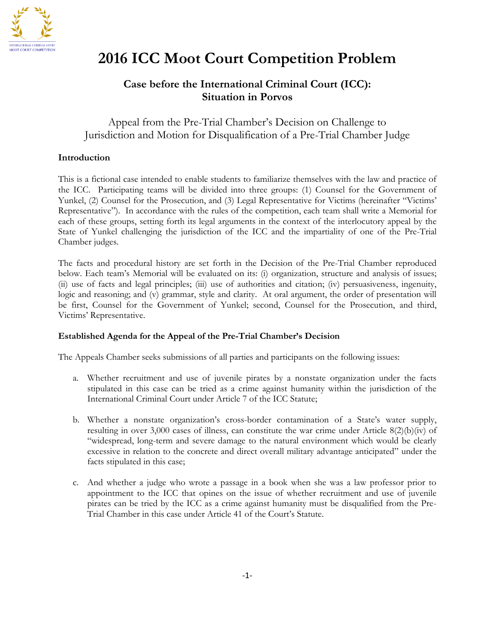

# **2016 ICC Moot Court Competition Problem**

### **Case before the International Criminal Court (ICC): Situation in Porvos**

Appeal from the Pre-Trial Chamber's Decision on Challenge to Jurisdiction and Motion for Disqualification of a Pre-Trial Chamber Judge

#### **Introduction**

This is a fictional case intended to enable students to familiarize themselves with the law and practice of the ICC. Participating teams will be divided into three groups: (1) Counsel for the Government of Yunkel, (2) Counsel for the Prosecution, and (3) Legal Representative for Victims (hereinafter "Victims' Representative"). In accordance with the rules of the competition, each team shall write a Memorial for each of these groups, setting forth its legal arguments in the context of the interlocutory appeal by the State of Yunkel challenging the jurisdiction of the ICC and the impartiality of one of the Pre-Trial Chamber judges.

The facts and procedural history are set forth in the Decision of the Pre-Trial Chamber reproduced below. Each team's Memorial will be evaluated on its: (i) organization, structure and analysis of issues; (ii) use of facts and legal principles; (iii) use of authorities and citation; (iv) persuasiveness, ingenuity, logic and reasoning; and (v) grammar, style and clarity. At oral argument, the order of presentation will be first, Counsel for the Government of Yunkel; second, Counsel for the Prosecution, and third, Victims' Representative.

#### **Established Agenda for the Appeal of the Pre-Trial Chamber's Decision**

The Appeals Chamber seeks submissions of all parties and participants on the following issues:

- a. Whether recruitment and use of juvenile pirates by a nonstate organization under the facts stipulated in this case can be tried as a crime against humanity within the jurisdiction of the International Criminal Court under Article 7 of the ICC Statute;
- b. Whether a nonstate organization's cross-border contamination of a State's water supply, resulting in over 3,000 cases of illness, can constitute the war crime under Article 8(2)(b)(iv) of "widespread, long-term and severe damage to the natural environment which would be clearly excessive in relation to the concrete and direct overall military advantage anticipated" under the facts stipulated in this case;
- c. And whether a judge who wrote a passage in a book when she was a law professor prior to appointment to the ICC that opines on the issue of whether recruitment and use of juvenile pirates can be tried by the ICC as a crime against humanity must be disqualified from the Pre-Trial Chamber in this case under Article 41 of the Court's Statute.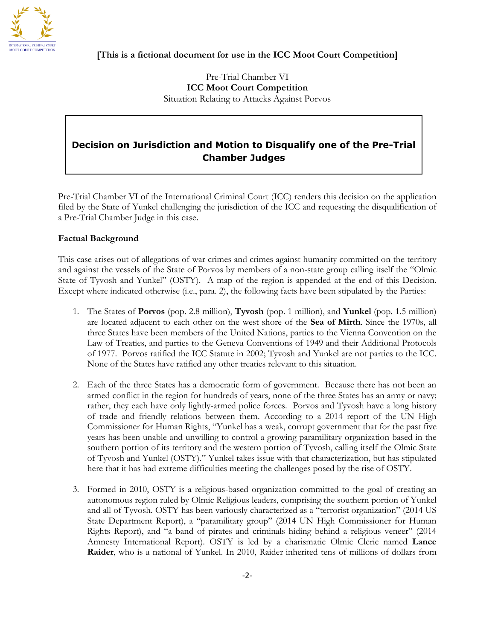

#### **[This is a fictional document for use in the ICC Moot Court Competition]**

Pre-Trial Chamber VI **ICC Moot Court Competition** Situation Relating to Attacks Against Porvos

## **Decision on Jurisdiction and Motion to Disqualify one of the Pre-Trial Chamber Judges**

Pre-Trial Chamber VI of the International Criminal Court (ICC) renders this decision on the application filed by the State of Yunkel challenging the jurisdiction of the ICC and requesting the disqualification of a Pre-Trial Chamber Judge in this case.

#### **Factual Background**

This case arises out of allegations of war crimes and crimes against humanity committed on the territory and against the vessels of the State of Porvos by members of a non-state group calling itself the "Olmic State of Tyvosh and Yunkel" (OSTY). A map of the region is appended at the end of this Decision. Except where indicated otherwise (i.e., para. 2), the following facts have been stipulated by the Parties:

- 1. The States of **Porvos** (pop. 2.8 million), **Tyvosh** (pop. 1 million), and **Yunkel** (pop. 1.5 million) are located adjacent to each other on the west shore of the **Sea of Mirth**. Since the 1970s, all three States have been members of the United Nations, parties to the Vienna Convention on the Law of Treaties, and parties to the Geneva Conventions of 1949 and their Additional Protocols of 1977. Porvos ratified the ICC Statute in 2002; Tyvosh and Yunkel are not parties to the ICC. None of the States have ratified any other treaties relevant to this situation.
- 2. Each of the three States has a democratic form of government. Because there has not been an armed conflict in the region for hundreds of years, none of the three States has an army or navy; rather, they each have only lightly-armed police forces. Porvos and Tyvosh have a long history of trade and friendly relations between them. According to a 2014 report of the UN High Commissioner for Human Rights, "Yunkel has a weak, corrupt government that for the past five years has been unable and unwilling to control a growing paramilitary organization based in the southern portion of its territory and the western portion of Tyvosh, calling itself the Olmic State of Tyvosh and Yunkel (OSTY)." Yunkel takes issue with that characterization, but has stipulated here that it has had extreme difficulties meeting the challenges posed by the rise of OSTY.
- 3. Formed in 2010, OSTY is a religious-based organization committed to the goal of creating an autonomous region ruled by Olmic Religious leaders, comprising the southern portion of Yunkel and all of Tyvosh. OSTY has been variously characterized as a "terrorist organization" (2014 US State Department Report), a "paramilitary group" (2014 UN High Commissioner for Human Rights Report), and "a band of pirates and criminals hiding behind a religious veneer" (2014 Amnesty International Report). OSTY is led by a charismatic Olmic Cleric named **Lance Raider**, who is a national of Yunkel. In 2010, Raider inherited tens of millions of dollars from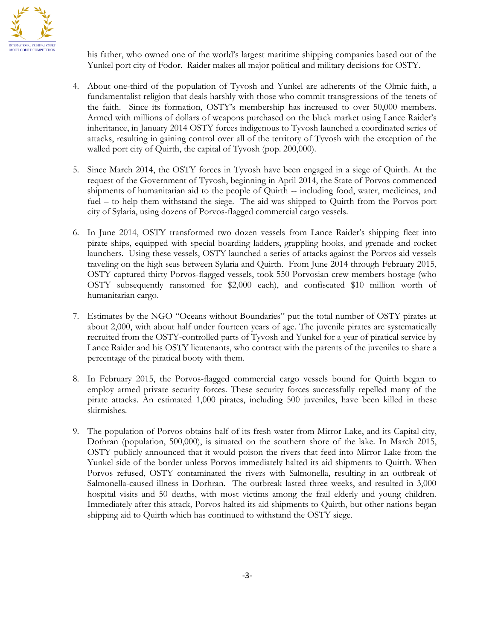

his father, who owned one of the world's largest maritime shipping companies based out of the Yunkel port city of Fodor. Raider makes all major political and military decisions for OSTY.

- 4. About one-third of the population of Tyvosh and Yunkel are adherents of the Olmic faith, a fundamentalist religion that deals harshly with those who commit transgressions of the tenets of the faith. Since its formation, OSTY's membership has increased to over 50,000 members. Armed with millions of dollars of weapons purchased on the black market using Lance Raider's inheritance, in January 2014 OSTY forces indigenous to Tyvosh launched a coordinated series of attacks, resulting in gaining control over all of the territory of Tyvosh with the exception of the walled port city of Quirth, the capital of Tyvosh (pop. 200,000).
- 5. Since March 2014, the OSTY forces in Tyvosh have been engaged in a siege of Quirth. At the request of the Government of Tyvosh, beginning in April 2014, the State of Porvos commenced shipments of humanitarian aid to the people of Quirth -- including food, water, medicines, and fuel – to help them withstand the siege. The aid was shipped to Quirth from the Porvos port city of Sylaria, using dozens of Porvos-flagged commercial cargo vessels.
- 6. In June 2014, OSTY transformed two dozen vessels from Lance Raider's shipping fleet into pirate ships, equipped with special boarding ladders, grappling hooks, and grenade and rocket launchers. Using these vessels, OSTY launched a series of attacks against the Porvos aid vessels traveling on the high seas between Sylaria and Quirth. From June 2014 through February 2015, OSTY captured thirty Porvos-flagged vessels, took 550 Porvosian crew members hostage (who OSTY subsequently ransomed for \$2,000 each), and confiscated \$10 million worth of humanitarian cargo.
- 7. Estimates by the NGO "Oceans without Boundaries" put the total number of OSTY pirates at about 2,000, with about half under fourteen years of age. The juvenile pirates are systematically recruited from the OSTY-controlled parts of Tyvosh and Yunkel for a year of piratical service by Lance Raider and his OSTY lieutenants, who contract with the parents of the juveniles to share a percentage of the piratical booty with them.
- 8. In February 2015, the Porvos-flagged commercial cargo vessels bound for Quirth began to employ armed private security forces. These security forces successfully repelled many of the pirate attacks. An estimated 1,000 pirates, including 500 juveniles, have been killed in these skirmishes.
- 9. The population of Porvos obtains half of its fresh water from Mirror Lake, and its Capital city, Dothran (population, 500,000), is situated on the southern shore of the lake. In March 2015, OSTY publicly announced that it would poison the rivers that feed into Mirror Lake from the Yunkel side of the border unless Porvos immediately halted its aid shipments to Quirth. When Porvos refused, OSTY contaminated the rivers with Salmonella, resulting in an outbreak of Salmonella-caused illness in Dorhran. The outbreak lasted three weeks, and resulted in 3,000 hospital visits and 50 deaths, with most victims among the frail elderly and young children. Immediately after this attack, Porvos halted its aid shipments to Quirth, but other nations began shipping aid to Quirth which has continued to withstand the OSTY siege.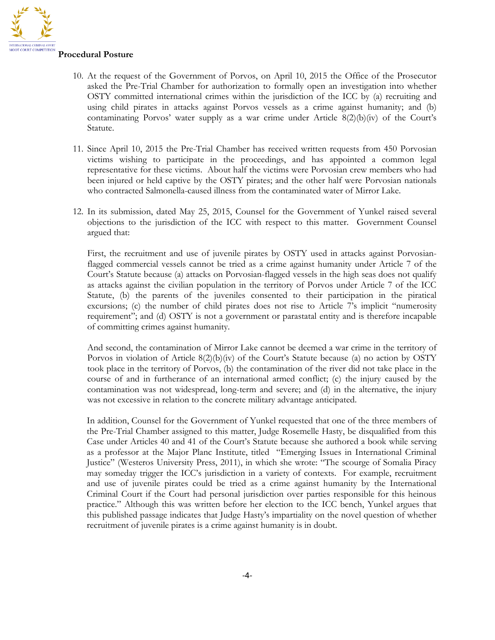

#### **Procedural Posture**

- 10. At the request of the Government of Porvos, on April 10, 2015 the Office of the Prosecutor asked the Pre-Trial Chamber for authorization to formally open an investigation into whether OSTY committed international crimes within the jurisdiction of the ICC by (a) recruiting and using child pirates in attacks against Porvos vessels as a crime against humanity; and (b) contaminating Porvos' water supply as a war crime under Article  $8(2)(b)(iv)$  of the Court's Statute.
- 11. Since April 10, 2015 the Pre-Trial Chamber has received written requests from 450 Porvosian victims wishing to participate in the proceedings, and has appointed a common legal representative for these victims. About half the victims were Porvosian crew members who had been injured or held captive by the OSTY pirates; and the other half were Porvosian nationals who contracted Salmonella-caused illness from the contaminated water of Mirror Lake.
- 12. In its submission, dated May 25, 2015, Counsel for the Government of Yunkel raised several objections to the jurisdiction of the ICC with respect to this matter. Government Counsel argued that:

First, the recruitment and use of juvenile pirates by OSTY used in attacks against Porvosianflagged commercial vessels cannot be tried as a crime against humanity under Article 7 of the Court's Statute because (a) attacks on Porvosian-flagged vessels in the high seas does not qualify as attacks against the civilian population in the territory of Porvos under Article 7 of the ICC Statute, (b) the parents of the juveniles consented to their participation in the piratical excursions; (c) the number of child pirates does not rise to Article 7's implicit "numerosity requirement"; and (d) OSTY is not a government or parastatal entity and is therefore incapable of committing crimes against humanity.

And second, the contamination of Mirror Lake cannot be deemed a war crime in the territory of Porvos in violation of Article 8(2)(b)(iv) of the Court's Statute because (a) no action by OSTY took place in the territory of Porvos, (b) the contamination of the river did not take place in the course of and in furtherance of an international armed conflict; (c) the injury caused by the contamination was not widespread, long-term and severe; and (d) in the alternative, the injury was not excessive in relation to the concrete military advantage anticipated.

In addition, Counsel for the Government of Yunkel requested that one of the three members of the Pre-Trial Chamber assigned to this matter, Judge Rosemelle Hasty, be disqualified from this Case under Articles 40 and 41 of the Court's Statute because she authored a book while serving as a professor at the Major Planc Institute, titled "Emerging Issues in International Criminal Justice" (Westeros University Press, 2011), in which she wrote: "The scourge of Somalia Piracy may someday trigger the ICC's jurisdiction in a variety of contexts. For example, recruitment and use of juvenile pirates could be tried as a crime against humanity by the International Criminal Court if the Court had personal jurisdiction over parties responsible for this heinous practice." Although this was written before her election to the ICC bench, Yunkel argues that this published passage indicates that Judge Hasty's impartiality on the novel question of whether recruitment of juvenile pirates is a crime against humanity is in doubt.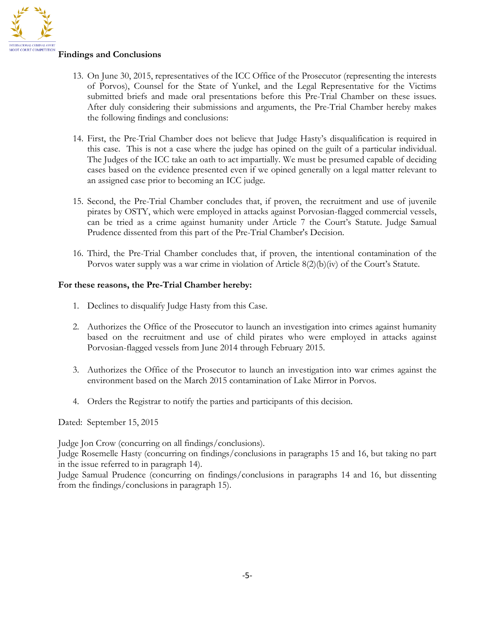

#### **Findings and Conclusions**

- 13. On June 30, 2015, representatives of the ICC Office of the Prosecutor (representing the interests of Porvos), Counsel for the State of Yunkel, and the Legal Representative for the Victims submitted briefs and made oral presentations before this Pre-Trial Chamber on these issues. After duly considering their submissions and arguments, the Pre-Trial Chamber hereby makes the following findings and conclusions:
- 14. First, the Pre-Trial Chamber does not believe that Judge Hasty's disqualification is required in this case. This is not a case where the judge has opined on the guilt of a particular individual. The Judges of the ICC take an oath to act impartially. We must be presumed capable of deciding cases based on the evidence presented even if we opined generally on a legal matter relevant to an assigned case prior to becoming an ICC judge.
- 15. Second, the Pre-Trial Chamber concludes that, if proven, the recruitment and use of juvenile pirates by OSTY, which were employed in attacks against Porvosian-flagged commercial vessels, can be tried as a crime against humanity under Article 7 the Court's Statute. Judge Samual Prudence dissented from this part of the Pre-Trial Chamber's Decision.
- 16. Third, the Pre-Trial Chamber concludes that, if proven, the intentional contamination of the Porvos water supply was a war crime in violation of Article 8(2)(b)(iv) of the Court's Statute.

#### **For these reasons, the Pre-Trial Chamber hereby:**

- 1. Declines to disqualify Judge Hasty from this Case.
- 2. Authorizes the Office of the Prosecutor to launch an investigation into crimes against humanity based on the recruitment and use of child pirates who were employed in attacks against Porvosian-flagged vessels from June 2014 through February 2015.
- 3. Authorizes the Office of the Prosecutor to launch an investigation into war crimes against the environment based on the March 2015 contamination of Lake Mirror in Porvos.
- 4. Orders the Registrar to notify the parties and participants of this decision.

Dated: September 15, 2015

Judge Jon Crow (concurring on all findings/conclusions).

Judge Rosemelle Hasty (concurring on findings/conclusions in paragraphs 15 and 16, but taking no part in the issue referred to in paragraph 14).

Judge Samual Prudence (concurring on findings/conclusions in paragraphs 14 and 16, but dissenting from the findings/conclusions in paragraph 15).